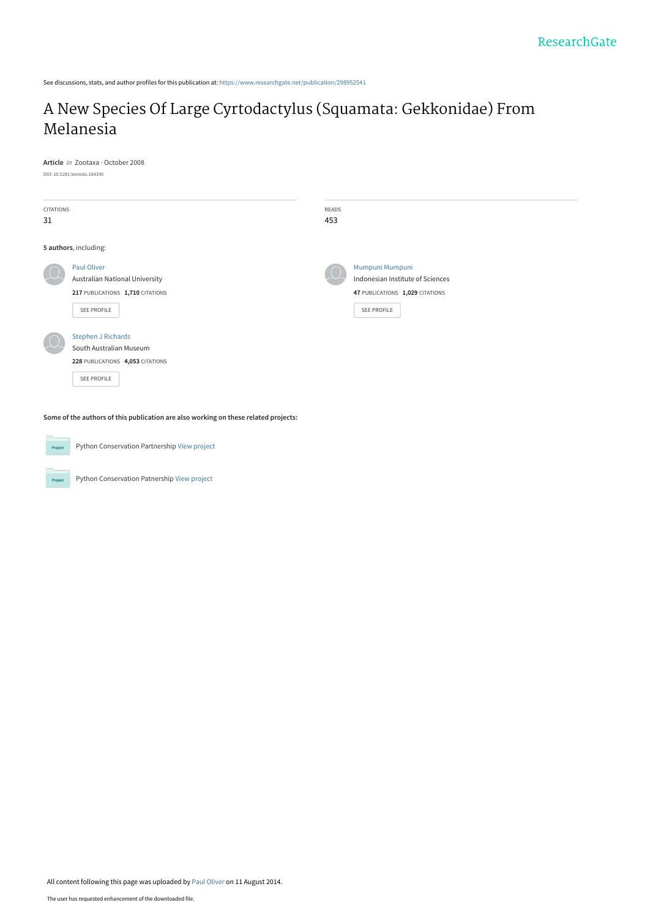See discussions, stats, and author profiles for this publication at: [https://www.researchgate.net/publication/298952541](https://www.researchgate.net/publication/298952541_A_New_Species_Of_Large_Cyrtodactylus_Squamata_Gekkonidae_From_Melanesia?enrichId=rgreq-47362b148884d74f7f3d8b4651803ea2-XXX&enrichSource=Y292ZXJQYWdlOzI5ODk1MjU0MTtBUzoxMjkxMzQ4Mzk3MzQyNzJAMTQwNzc5OTU1MzExNg%3D%3D&el=1_x_2&_esc=publicationCoverPdf)

# [A New Species Of Large Cyrtodactylus \(Squamata: Gekkonidae\) From](https://www.researchgate.net/publication/298952541_A_New_Species_Of_Large_Cyrtodactylus_Squamata_Gekkonidae_From_Melanesia?enrichId=rgreq-47362b148884d74f7f3d8b4651803ea2-XXX&enrichSource=Y292ZXJQYWdlOzI5ODk1MjU0MTtBUzoxMjkxMzQ4Mzk3MzQyNzJAMTQwNzc5OTU1MzExNg%3D%3D&el=1_x_3&_esc=publicationCoverPdf) Melanesia

**Article** in Zootaxa · October 2008 DOI: 10.5281/zenodo.184390

| <b>CITATIONS</b> |                                       | READS |                                  |
|------------------|---------------------------------------|-------|----------------------------------|
| 31               |                                       | 453   |                                  |
|                  |                                       |       |                                  |
|                  | 5 authors, including:                 |       |                                  |
|                  | Paul Oliver                           |       | Mumpuni Mumpuni                  |
|                  | <b>Australian National University</b> |       | Indonesian Institute of Sciences |
|                  | 217 PUBLICATIONS 1,710 CITATIONS      |       | 47 PUBLICATIONS 1,029 CITATIONS  |
|                  | SEE PROFILE                           |       | SEE PROFILE                      |
|                  |                                       |       |                                  |
|                  | <b>Stephen J Richards</b>             |       |                                  |
|                  | South Australian Museum               |       |                                  |
|                  | 228 PUBLICATIONS 4,053 CITATIONS      |       |                                  |
|                  | SEE PROFILE                           |       |                                  |
|                  |                                       |       |                                  |

**Some of the authors of this publication are also working on these related projects:**

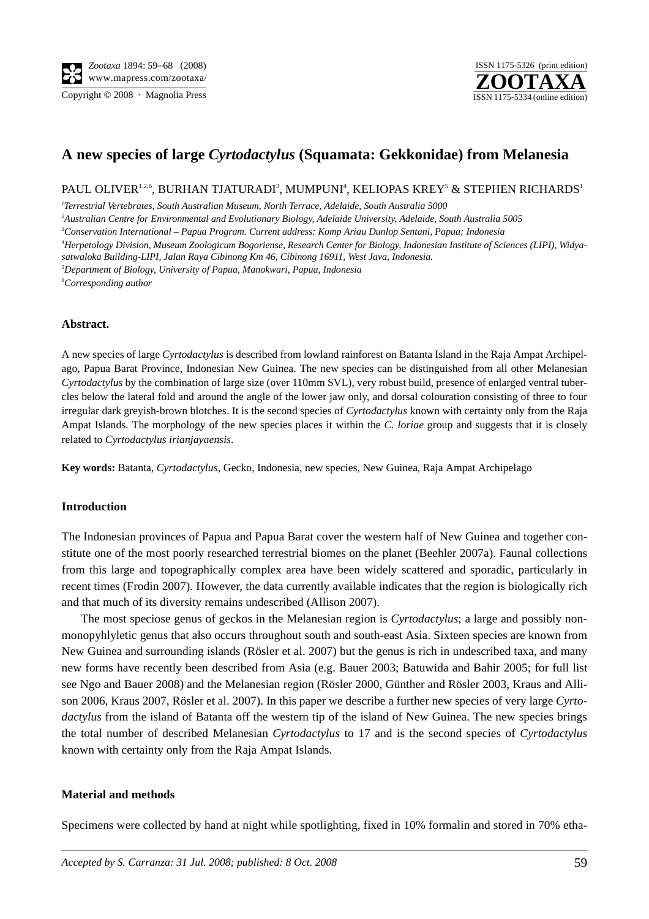**ZOOTAXA** ISSN 1175-5326 (print edition) Copyright © 2008 · Magnolia Press ISSN 1175-5334 (online edition)

## **A new species of large** *Cyrtodactylus* **(Squamata: Gekkonidae) from Melanesia**

PAUL OLIVER $^{1,2,6}$ , BURHAN TJATURADI $^3$ , MUMPUNI $^4$ , KELIOPAS KREY $^5$  & STEPHEN RICHARDS $^1$ 

 *Terrestrial Vertebrates, South Australian Museum, North Terrace, Adelaide, South Australia 5000 Australian Centre for Environmental and Evolutionary Biology, Adelaide University, Adelaide, South Australia 5005 Conservation International – Papua Program. Current address: Komp Ariau Dunlop Sentani, Papua; Indonesia Herpetology Division, Museum Zoologicum Bogoriense, Research Center for Biology, Indonesian Institute of Sciences (LIPI), Widyasatwaloka Building-LIPI, Jalan Raya Cibinong Km 46, Cibinong 16911, West Java, Indonesia. Department of Biology, University of Papua, Manokwari, Papua, Indonesia Corresponding author*

### **Abstract.**

A new species of large *Cyrtodactylus* is described from lowland rainforest on Batanta Island in the Raja Ampat Archipelago, Papua Barat Province, Indonesian New Guinea. The new species can be distinguished from all other Melanesian *Cyrtodactylus* by the combination of large size (over 110mm SVL), very robust build, presence of enlarged ventral tubercles below the lateral fold and around the angle of the lower jaw only, and dorsal colouration consisting of three to four irregular dark greyish-brown blotches. It is the second species of *Cyrtodactylus* known with certainty only from the Raja Ampat Islands. The morphology of the new species places it within the *C. loriae* group and suggests that it is closely related to *Cyrtodactylus irianjayaensis*.

**Key words:** Batanta, *Cyrtodactylus*, Gecko, Indonesia, new species, New Guinea, Raja Ampat Archipelago

#### **Introduction**

The Indonesian provinces of Papua and Papua Barat cover the western half of New Guinea and together constitute one of the most poorly researched terrestrial biomes on the planet (Beehler 2007a). Faunal collections from this large and topographically complex area have been widely scattered and sporadic, particularly in recent times (Frodin 2007). However, the data currently available indicates that the region is biologically rich and that much of its diversity remains undescribed (Allison 2007).

The most speciose genus of geckos in the Melanesian region is *Cyrtodactylus*; a large and possibly nonmonopyhlyletic genus that also occurs throughout south and south-east Asia. Sixteen species are known from New Guinea and surrounding islands (Rösler et al. 2007) but the genus is rich in undescribed taxa, and many new forms have recently been described from Asia (e.g. Bauer 2003; Batuwida and Bahir 2005; for full list see Ngo and Bauer 2008) and the Melanesian region (Rösler 2000, Günther and Rösler 2003, Kraus and Allison 2006, Kraus 2007, Rösler et al. 2007). In this paper we describe a further new species of very large *Cyrtodactylus* from the island of Batanta off the western tip of the island of New Guinea. The new species brings the total number of described Melanesian *Cyrtodactylus* to 17 and is the second species of *Cyrtodactylus* known with certainty only from the Raja Ampat Islands.

#### **Material and methods**

Specimens were collected by hand at night while spotlighting, fixed in 10% formalin and stored in 70% etha-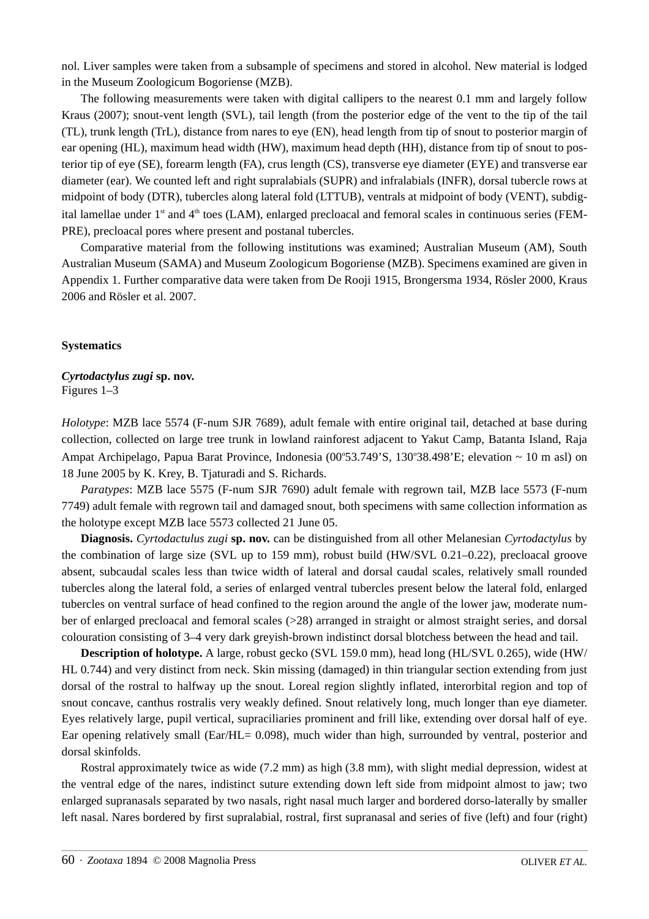nol. Liver samples were taken from a subsample of specimens and stored in alcohol. New material is lodged in the Museum Zoologicum Bogoriense (MZB).

The following measurements were taken with digital callipers to the nearest 0.1 mm and largely follow Kraus (2007); snout-vent length (SVL), tail length (from the posterior edge of the vent to the tip of the tail (TL), trunk length (TrL), distance from nares to eye (EN), head length from tip of snout to posterior margin of ear opening (HL), maximum head width (HW), maximum head depth (HH), distance from tip of snout to posterior tip of eye (SE), forearm length (FA), crus length (CS), transverse eye diameter (EYE) and transverse ear diameter (ear). We counted left and right supralabials (SUPR) and infralabials (INFR), dorsal tubercle rows at midpoint of body (DTR), tubercles along lateral fold (LTTUB), ventrals at midpoint of body (VENT), subdigital lamellae under 1<sup>st</sup> and 4<sup>th</sup> toes (LAM), enlarged precloacal and femoral scales in continuous series (FEM-PRE), precloacal pores where present and postanal tubercles.

Comparative material from the following institutions was examined; Australian Museum (AM), South Australian Museum (SAMA) and Museum Zoologicum Bogoriense (MZB). Specimens examined are given in Appendix 1. Further comparative data were taken from De Rooji 1915, Brongersma 1934, Rösler 2000, Kraus 2006 and Rösler et al. 2007.

#### **Systematics**

*Cyrtodactylus zugi* **sp. nov.** Figures 1–3

*Holotype*: MZB lace 5574 (F-num SJR 7689), adult female with entire original tail, detached at base during collection, collected on large tree trunk in lowland rainforest adjacent to Yakut Camp, Batanta Island, Raja Ampat Archipelago, Papua Barat Province, Indonesia (00°53.749'S, 130°38.498'E; elevation ~ 10 m asl) on 18 June 2005 by K. Krey, B. Tjaturadi and S. Richards.

*Paratypes*: MZB lace 5575 (F-num SJR 7690) adult female with regrown tail, MZB lace 5573 (F-num 7749) adult female with regrown tail and damaged snout, both specimens with same collection information as the holotype except MZB lace 5573 collected 21 June 05.

**Diagnosis.** *Cyrtodactulus zugi* **sp. nov.** can be distinguished from all other Melanesian *Cyrtodactylus* by the combination of large size (SVL up to 159 mm), robust build (HW/SVL 0.21–0.22), precloacal groove absent, subcaudal scales less than twice width of lateral and dorsal caudal scales, relatively small rounded tubercles along the lateral fold, a series of enlarged ventral tubercles present below the lateral fold, enlarged tubercles on ventral surface of head confined to the region around the angle of the lower jaw, moderate number of enlarged precloacal and femoral scales (>28) arranged in straight or almost straight series, and dorsal colouration consisting of 3–4 very dark greyish-brown indistinct dorsal blotchess between the head and tail.

**Description of holotype.** A large, robust gecko (SVL 159.0 mm), head long (HL/SVL 0.265), wide (HW/ HL 0.744) and very distinct from neck. Skin missing (damaged) in thin triangular section extending from just dorsal of the rostral to halfway up the snout. Loreal region slightly inflated, interorbital region and top of snout concave, canthus rostralis very weakly defined. Snout relatively long, much longer than eye diameter. Eyes relatively large, pupil vertical, supraciliaries prominent and frill like, extending over dorsal half of eye. Ear opening relatively small (Ear/HL= 0.098), much wider than high, surrounded by ventral, posterior and dorsal skinfolds.

Rostral approximately twice as wide (7.2 mm) as high (3.8 mm), with slight medial depression, widest at the ventral edge of the nares, indistinct suture extending down left side from midpoint almost to jaw; two enlarged supranasals separated by two nasals, right nasal much larger and bordered dorso-laterally by smaller left nasal. Nares bordered by first supralabial, rostral, first supranasal and series of five (left) and four (right)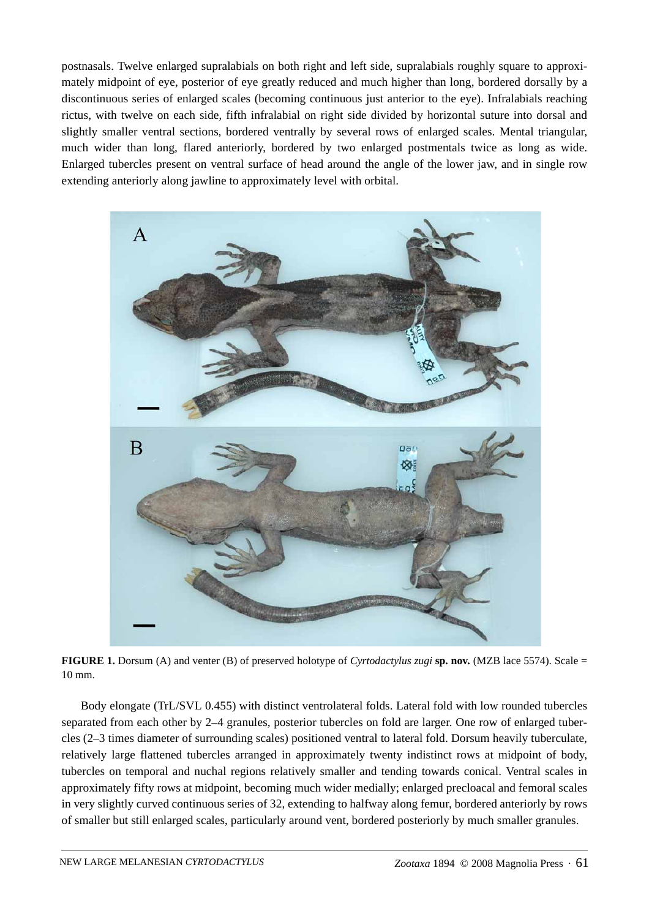postnasals. Twelve enlarged supralabials on both right and left side, supralabials roughly square to approximately midpoint of eye, posterior of eye greatly reduced and much higher than long, bordered dorsally by a discontinuous series of enlarged scales (becoming continuous just anterior to the eye). Infralabials reaching rictus, with twelve on each side, fifth infralabial on right side divided by horizontal suture into dorsal and slightly smaller ventral sections, bordered ventrally by several rows of enlarged scales. Mental triangular, much wider than long, flared anteriorly, bordered by two enlarged postmentals twice as long as wide. Enlarged tubercles present on ventral surface of head around the angle of the lower jaw, and in single row extending anteriorly along jawline to approximately level with orbital.



**FIGURE 1.** Dorsum (A) and venter (B) of preserved holotype of *Cyrtodactylus zugi* **sp. nov.** (MZB lace 5574). Scale = 10 mm.

Body elongate (TrL/SVL 0.455) with distinct ventrolateral folds. Lateral fold with low rounded tubercles separated from each other by 2–4 granules, posterior tubercles on fold are larger. One row of enlarged tubercles (2–3 times diameter of surrounding scales) positioned ventral to lateral fold. Dorsum heavily tuberculate, relatively large flattened tubercles arranged in approximately twenty indistinct rows at midpoint of body, tubercles on temporal and nuchal regions relatively smaller and tending towards conical. Ventral scales in approximately fifty rows at midpoint, becoming much wider medially; enlarged precloacal and femoral scales in very slightly curved continuous series of 32, extending to halfway along femur, bordered anteriorly by rows of smaller but still enlarged scales, particularly around vent, bordered posteriorly by much smaller granules.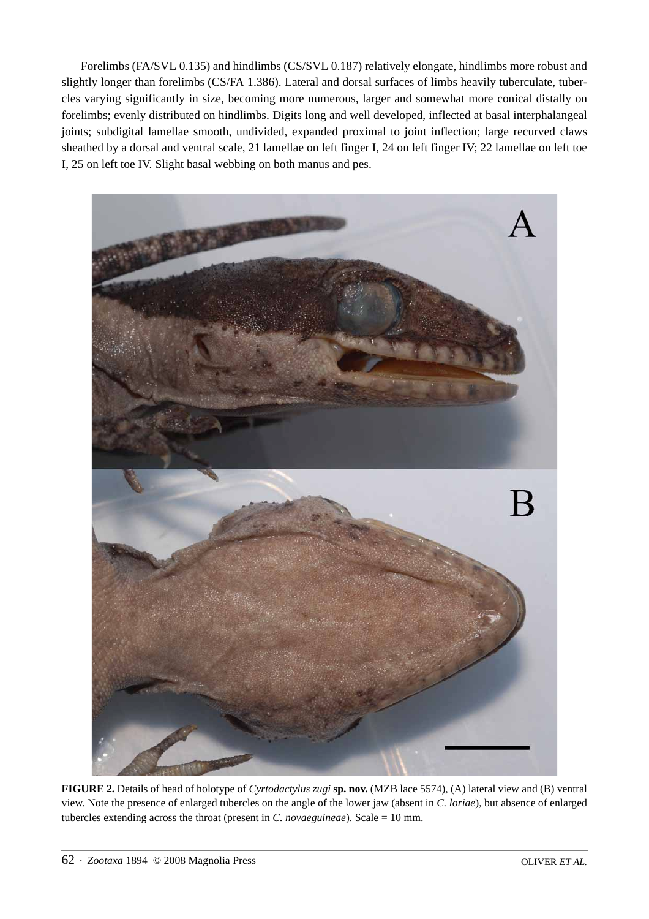Forelimbs (FA/SVL 0.135) and hindlimbs (CS/SVL 0.187) relatively elongate, hindlimbs more robust and slightly longer than forelimbs (CS/FA 1.386). Lateral and dorsal surfaces of limbs heavily tuberculate, tubercles varying significantly in size, becoming more numerous, larger and somewhat more conical distally on forelimbs; evenly distributed on hindlimbs. Digits long and well developed, inflected at basal interphalangeal joints; subdigital lamellae smooth, undivided, expanded proximal to joint inflection; large recurved claws sheathed by a dorsal and ventral scale, 21 lamellae on left finger I, 24 on left finger IV; 22 lamellae on left toe I, 25 on left toe IV. Slight basal webbing on both manus and pes.



**FIGURE 2.** Details of head of holotype of *Cyrtodactylus zugi* **sp. nov.** (MZB lace 5574), (A) lateral view and (B) ventral view. Note the presence of enlarged tubercles on the angle of the lower jaw (absent in *C. loriae*), but absence of enlarged tubercles extending across the throat (present in *C. novaeguineae*). Scale = 10 mm.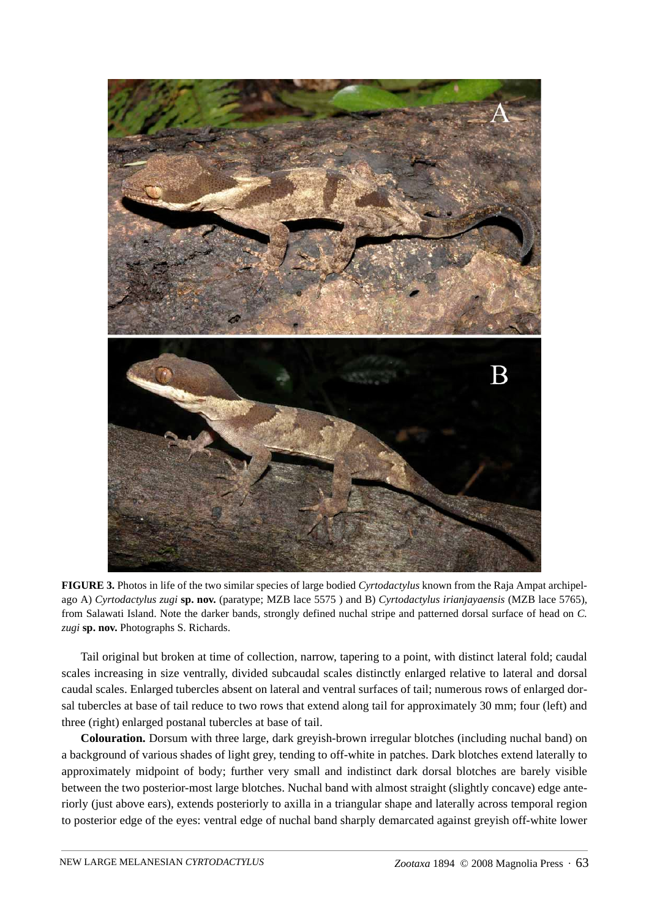

**FIGURE 3.** Photos in life of the two similar species of large bodied *Cyrtodactylus* known from the Raja Ampat archipelago A) *Cyrtodactylus zugi* **sp. nov.** (paratype; MZB lace 5575 ) and B) *Cyrtodactylus irianjayaensis* (MZB lace 5765), from Salawati Island. Note the darker bands, strongly defined nuchal stripe and patterned dorsal surface of head on *C. zugi* **sp. nov.** Photographs S. Richards.

Tail original but broken at time of collection, narrow, tapering to a point, with distinct lateral fold; caudal scales increasing in size ventrally, divided subcaudal scales distinctly enlarged relative to lateral and dorsal caudal scales. Enlarged tubercles absent on lateral and ventral surfaces of tail; numerous rows of enlarged dorsal tubercles at base of tail reduce to two rows that extend along tail for approximately 30 mm; four (left) and three (right) enlarged postanal tubercles at base of tail.

**Colouration.** Dorsum with three large, dark greyish-brown irregular blotches (including nuchal band) on a background of various shades of light grey, tending to off-white in patches. Dark blotches extend laterally to approximately midpoint of body; further very small and indistinct dark dorsal blotches are barely visible between the two posterior-most large blotches. Nuchal band with almost straight (slightly concave) edge anteriorly (just above ears), extends posteriorly to axilla in a triangular shape and laterally across temporal region to posterior edge of the eyes: ventral edge of nuchal band sharply demarcated against greyish off-white lower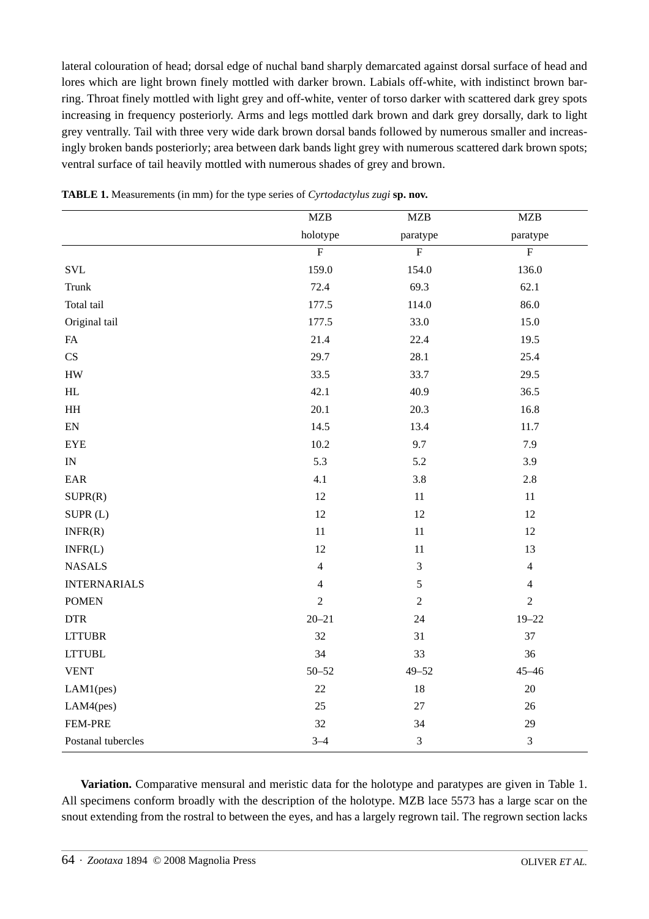lateral colouration of head; dorsal edge of nuchal band sharply demarcated against dorsal surface of head and lores which are light brown finely mottled with darker brown. Labials off-white, with indistinct brown barring. Throat finely mottled with light grey and off-white, venter of torso darker with scattered dark grey spots increasing in frequency posteriorly. Arms and legs mottled dark brown and dark grey dorsally, dark to light grey ventrally. Tail with three very wide dark brown dorsal bands followed by numerous smaller and increasingly broken bands posteriorly; area between dark bands light grey with numerous scattered dark brown spots; ventral surface of tail heavily mottled with numerous shades of grey and brown.

|                              | MZB            | MZB              | MZB            |
|------------------------------|----------------|------------------|----------------|
|                              | holotype       | paratype         | paratype       |
|                              | $\overline{F}$ | $\overline{F}$   | $\overline{F}$ |
| $\ensuremath{\mathrm{SVL}}$  | 159.0          | 154.0            | 136.0          |
| <b>Trunk</b>                 | 72.4           | 69.3             | 62.1           |
| Total tail                   | 177.5          | 114.0            | 86.0           |
| Original tail                | 177.5          | 33.0             | 15.0           |
| FA                           | 21.4           | 22.4             | 19.5           |
| CS                           | 29.7           | 28.1             | 25.4           |
| ${\rm HW}$                   | 33.5           | 33.7             | 29.5           |
| $\mathop{\rm HL}\nolimits$   | 42.1           | 40.9             | 36.5           |
| $\rm HH$                     | 20.1           | 20.3             | 16.8           |
| $\mathop{\rm EN}\nolimits$   | 14.5           | 13.4             | 11.7           |
| ${\rm EYE}$                  | 10.2           | 9.7              | 7.9            |
| $\ensuremath{\text{IN}}$     | 5.3            | 5.2              | 3.9            |
| $\ensuremath{\text{EAR}}$    | 4.1            | 3.8              | $2.8\,$        |
| SUPR(R)                      | 12             | $11\,$           | 11             |
| SUPR(L)                      | 12             | 12               | 12             |
| INFR(R)                      | $11\,$         | $11\,$           | 12             |
| INFR(L)                      | 12             | $11\,$           | 13             |
| <b>NASALS</b>                | $\overline{4}$ | $\mathfrak{Z}$   | $\overline{4}$ |
| <b>INTERNARIALS</b>          | $\overline{4}$ | 5                | $\overline{4}$ |
| <b>POMEN</b>                 | $\sqrt{2}$     | $\boldsymbol{2}$ | $\overline{2}$ |
| $\ensuremath{\mathsf{DTR}}$  | $20 - 21$      | 24               | $19 - 22$      |
| <b>LTTUBR</b>                | 32             | 31               | 37             |
| $\ensuremath{\text{LTTUBL}}$ | 34             | 33               | 36             |
| <b>VENT</b>                  | $50 - 52$      | $49 - 52$        | $45 - 46$      |
| LAM1(pes)                    | 22             | 18               | $20\,$         |
| LAM4(pes)                    | 25             | $27\,$           | 26             |
| FEM-PRE                      | 32             | 34               | 29             |
| Postanal tubercles           | $3 - 4$        | $\mathfrak{Z}$   | 3              |

**TABLE 1.** Measurements (in mm) for the type series of *Cyrtodactylus zugi* **sp. nov.**

**Variation.** Comparative mensural and meristic data for the holotype and paratypes are given in Table 1. All specimens conform broadly with the description of the holotype. MZB lace 5573 has a large scar on the snout extending from the rostral to between the eyes, and has a largely regrown tail. The regrown section lacks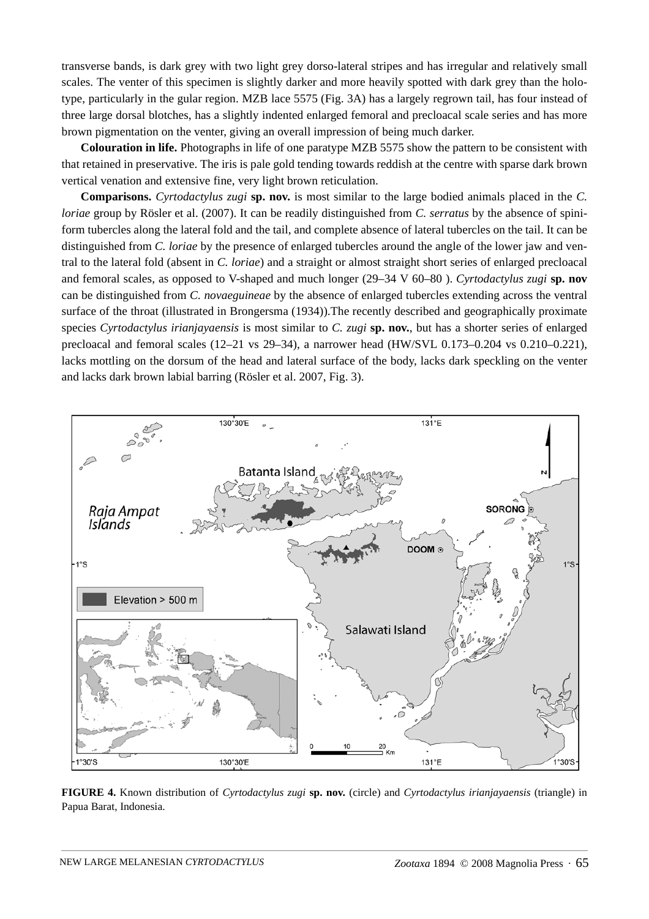transverse bands, is dark grey with two light grey dorso-lateral stripes and has irregular and relatively small scales. The venter of this specimen is slightly darker and more heavily spotted with dark grey than the holotype, particularly in the gular region. MZB lace 5575 (Fig. 3A) has a largely regrown tail, has four instead of three large dorsal blotches, has a slightly indented enlarged femoral and precloacal scale series and has more brown pigmentation on the venter, giving an overall impression of being much darker.

**Colouration in life.** Photographs in life of one paratype MZB 5575 show the pattern to be consistent with that retained in preservative. The iris is pale gold tending towards reddish at the centre with sparse dark brown vertical venation and extensive fine, very light brown reticulation.

**Comparisons.** *Cyrtodactylus zugi* **sp. nov.** is most similar to the large bodied animals placed in the *C. loriae* group by Rösler et al. (2007). It can be readily distinguished from *C. serratus* by the absence of spiniform tubercles along the lateral fold and the tail, and complete absence of lateral tubercles on the tail. It can be distinguished from *C. loriae* by the presence of enlarged tubercles around the angle of the lower jaw and ventral to the lateral fold (absent in *C. loriae*) and a straight or almost straight short series of enlarged precloacal and femoral scales, as opposed to V-shaped and much longer (29–34 V 60–80 ). *Cyrtodactylus zugi* **sp. nov** can be distinguished from *C. novaeguineae* by the absence of enlarged tubercles extending across the ventral surface of the throat (illustrated in Brongersma (1934)).The recently described and geographically proximate species *Cyrtodactylus irianjayaensis* is most similar to *C. zugi* **sp. nov.**, but has a shorter series of enlarged precloacal and femoral scales (12–21 vs 29–34), a narrower head (HW/SVL 0.173–0.204 vs 0.210–0.221), lacks mottling on the dorsum of the head and lateral surface of the body, lacks dark speckling on the venter and lacks dark brown labial barring (Rösler et al. 2007, Fig. 3).



**FIGURE 4.** Known distribution of *Cyrtodactylus zugi* **sp. nov.** (circle) and *Cyrtodactylus irianjayaensis* (triangle) in Papua Barat, Indonesia.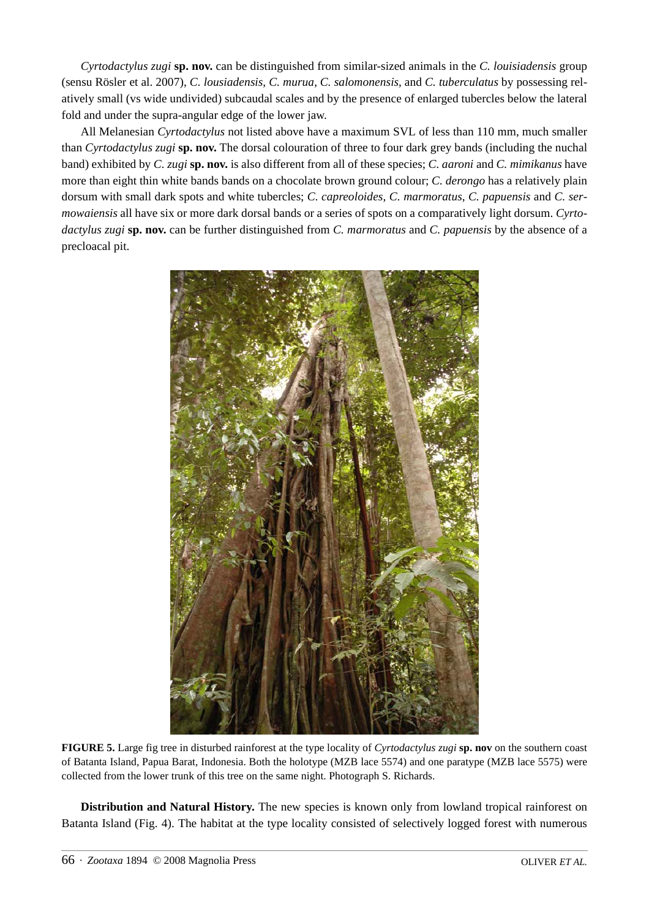*Cyrtodactylus zugi* **sp. nov.** can be distinguished from similar-sized animals in the *C. louisiadensis* group (sensu Rösler et al. 2007), *C. lousiadensis*, *C. murua*, *C. salomonensis*, and *C. tuberculatus* by possessing relatively small (vs wide undivided) subcaudal scales and by the presence of enlarged tubercles below the lateral fold and under the supra-angular edge of the lower jaw.

All Melanesian *Cyrtodactylus* not listed above have a maximum SVL of less than 110 mm, much smaller than *Cyrtodactylus zugi* **sp. nov.** The dorsal colouration of three to four dark grey bands (including the nuchal band) exhibited by *C. zugi* **sp. nov.** is also different from all of these species; *C. aaroni* and *C. mimikanus* have more than eight thin white bands bands on a chocolate brown ground colour; *C. derongo* has a relatively plain dorsum with small dark spots and white tubercles; *C. capreoloides*, *C. marmoratus*, *C. papuensis* and *C. sermowaiensis* all have six or more dark dorsal bands or a series of spots on a comparatively light dorsum. *Cyrtodactylus zugi* **sp. nov.** can be further distinguished from *C. marmoratus* and *C. papuensis* by the absence of a precloacal pit.



**FIGURE 5.** Large fig tree in disturbed rainforest at the type locality of *Cyrtodactylus zugi* **sp. nov** on the southern coast of Batanta Island, Papua Barat, Indonesia. Both the holotype (MZB lace 5574) and one paratype (MZB lace 5575) were collected from the lower trunk of this tree on the same night. Photograph S. Richards.

**Distribution and Natural History.** The new species is known only from lowland tropical rainforest on Batanta Island (Fig. 4). The habitat at the type locality consisted of selectively logged forest with numerous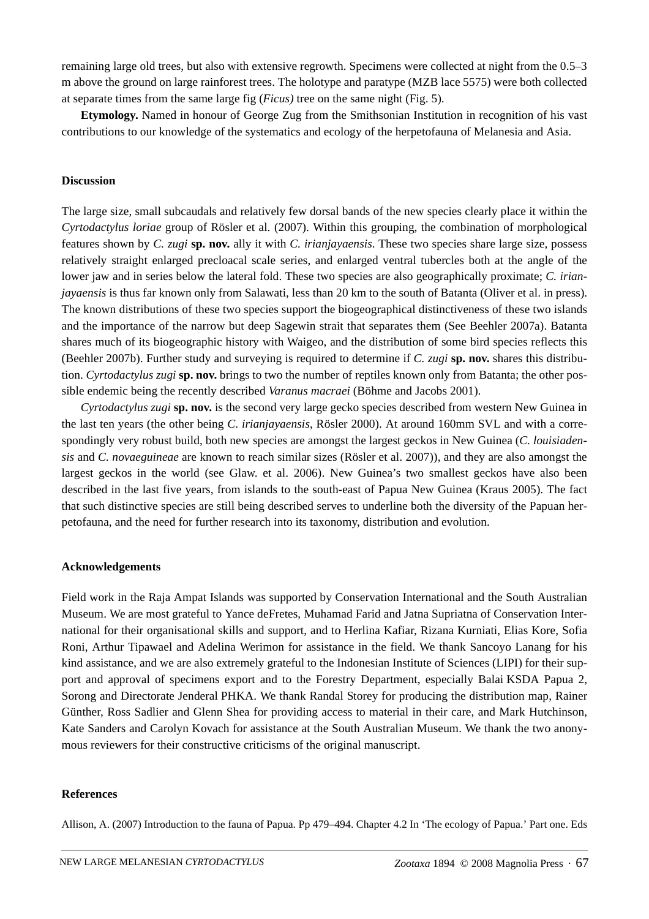remaining large old trees, but also with extensive regrowth. Specimens were collected at night from the 0.5–3 m above the ground on large rainforest trees. The holotype and paratype (MZB lace 5575) were both collected at separate times from the same large fig (*Ficus)* tree on the same night (Fig. 5).

**Etymology.** Named in honour of George Zug from the Smithsonian Institution in recognition of his vast contributions to our knowledge of the systematics and ecology of the herpetofauna of Melanesia and Asia.

#### **Discussion**

The large size, small subcaudals and relatively few dorsal bands of the new species clearly place it within the *Cyrtodactylus loriae* group of Rösler et al. (2007). Within this grouping, the combination of morphological features shown by *C. zugi* **sp. nov.** ally it with *C. irianjayaensis*. These two species share large size, possess relatively straight enlarged precloacal scale series, and enlarged ventral tubercles both at the angle of the lower jaw and in series below the lateral fold. These two species are also geographically proximate; *C. irianjayaensis* is thus far known only from Salawati, less than 20 km to the south of Batanta (Oliver et al. in press). The known distributions of these two species support the biogeographical distinctiveness of these two islands and the importance of the narrow but deep Sagewin strait that separates them (See Beehler 2007a). Batanta shares much of its biogeographic history with Waigeo, and the distribution of some bird species reflects this (Beehler 2007b). Further study and surveying is required to determine if *C. zugi* **sp. nov.** shares this distribution. *Cyrtodactylus zugi* **sp. nov.** brings to two the number of reptiles known only from Batanta; the other possible endemic being the recently described *Varanus macraei* (Böhme and Jacobs 2001).

*Cyrtodactylus zugi* **sp. nov.** is the second very large gecko species described from western New Guinea in the last ten years (the other being *C*. *irianjayaensis*, Rösler 2000). At around 160mm SVL and with a correspondingly very robust build, both new species are amongst the largest geckos in New Guinea (*C. louisiadensis* and *C. novaeguineae* are known to reach similar sizes (Rösler et al. 2007)), and they are also amongst the largest geckos in the world (see Glaw. et al. 2006). New Guinea's two smallest geckos have also been described in the last five years, from islands to the south-east of Papua New Guinea (Kraus 2005). The fact that such distinctive species are still being described serves to underline both the diversity of the Papuan herpetofauna, and the need for further research into its taxonomy, distribution and evolution.

#### **Acknowledgements**

Field work in the Raja Ampat Islands was supported by Conservation International and the South Australian Museum. We are most grateful to Yance deFretes, Muhamad Farid and Jatna Supriatna of Conservation International for their organisational skills and support, and to Herlina Kafiar, Rizana Kurniati, Elias Kore, Sofia Roni, Arthur Tipawael and Adelina Werimon for assistance in the field. We thank Sancoyo Lanang for his kind assistance, and we are also extremely grateful to the Indonesian Institute of Sciences (LIPI) for their support and approval of specimens export and to the Forestry Department, especially Balai KSDA Papua 2, Sorong and Directorate Jenderal PHKA. We thank Randal Storey for producing the distribution map, Rainer Günther, Ross Sadlier and Glenn Shea for providing access to material in their care, and Mark Hutchinson, Kate Sanders and Carolyn Kovach for assistance at the South Australian Museum. We thank the two anonymous reviewers for their constructive criticisms of the original manuscript.

#### **References**

Allison, A. (2007) Introduction to the fauna of Papua. Pp 479–494. Chapter 4.2 In 'The ecology of Papua.' Part one. Eds